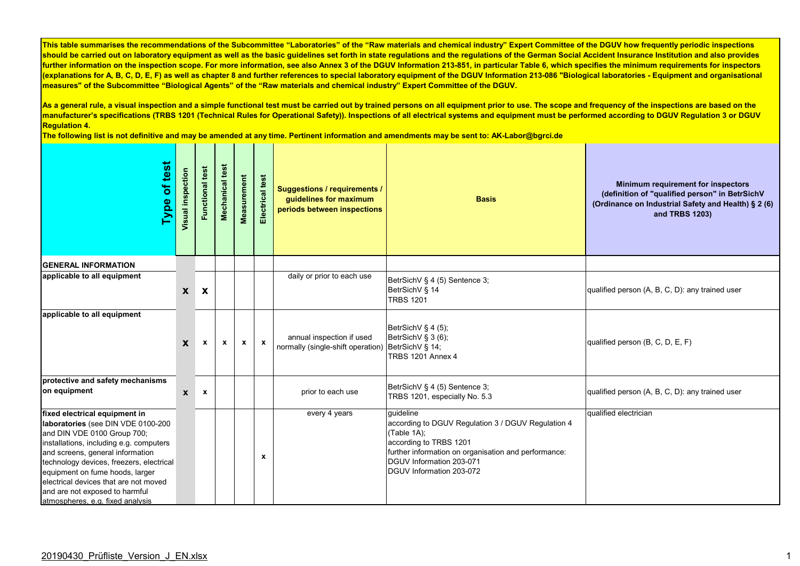As a general rule, a visual inspection and a simple functional test must be carried out by trained persons on all equipment prior to use. The scope and frequency of the inspections are based on the **manufacturer's specifications (TRBS 1201 (Technical Rules for Operational Safety)). Inspections of all electrical systems and equipment must be performed according to DGUV Regulation 3 or DGUV Regulation 4.** 

| of test<br>Type                                                                                                                                                                                                                                                                                                                                                                 | Visual inspection | test<br><b>Functional</b> | Mechanical test | Measurement  | Electrical test | <b>Suggestions / requirements /</b><br>guidelines for maximum<br>periods between inspections | <b>Basis</b>                                                                                                                                                                                                             | Minimum requirement for inspectors<br>(definition of "qualified person" in BetrSichV<br>(Ordinance on Industrial Safety and Health) § 2 (6)<br>and TRBS 1203) |
|---------------------------------------------------------------------------------------------------------------------------------------------------------------------------------------------------------------------------------------------------------------------------------------------------------------------------------------------------------------------------------|-------------------|---------------------------|-----------------|--------------|-----------------|----------------------------------------------------------------------------------------------|--------------------------------------------------------------------------------------------------------------------------------------------------------------------------------------------------------------------------|---------------------------------------------------------------------------------------------------------------------------------------------------------------|
| <b>GENERAL INFORMATION</b>                                                                                                                                                                                                                                                                                                                                                      |                   |                           |                 |              |                 |                                                                                              |                                                                                                                                                                                                                          |                                                                                                                                                               |
| applicable to all equipment                                                                                                                                                                                                                                                                                                                                                     | X                 | X                         |                 |              |                 | daily or prior to each use                                                                   | BetrSichV § 4 (5) Sentence 3;<br>BetrSichV § 14<br><b>TRBS 1201</b>                                                                                                                                                      | qualified person (A, B, C, D): any trained user                                                                                                               |
| applicable to all equipment                                                                                                                                                                                                                                                                                                                                                     | X                 | $\mathbf{x}$              | $\mathbf{x}$    | $\mathbf{x}$ | $\mathbf{x}$    | annual inspection if used<br>normally (single-shift operation) BetrSichV § 14;               | BetrSichV § 4 (5);<br>BetrSichV § 3 (6);<br><b>TRBS 1201 Annex 4</b>                                                                                                                                                     | qualified person (B, C, D, E, F)                                                                                                                              |
| protective and safety mechanisms<br>on equipment                                                                                                                                                                                                                                                                                                                                | $\mathbf{x}$      | $\mathbf{x}$              |                 |              |                 | prior to each use                                                                            | BetrSichV § 4 (5) Sentence 3;<br>TRBS 1201, especially No. 5.3                                                                                                                                                           | qualified person (A, B, C, D): any trained user                                                                                                               |
| fixed electrical equipment in<br>laboratories (see DIN VDE 0100-200<br>and DIN VDE 0100 Group 700;<br>installations, including e.g. computers<br>and screens, general information<br>technology devices, freezers, electrical<br>equipment on fume hoods, larger<br>electrical devices that are not moved<br>and are not exposed to harmful<br>atmospheres, e.g. fixed analysis |                   |                           |                 |              | x               | every 4 years                                                                                | quideline<br>according to DGUV Regulation 3 / DGUV Regulation 4<br>(Table 1A);<br>according to TRBS 1201<br>further information on organisation and performance:<br>DGUV Information 203-071<br>DGUV Information 203-072 | qualified electrician                                                                                                                                         |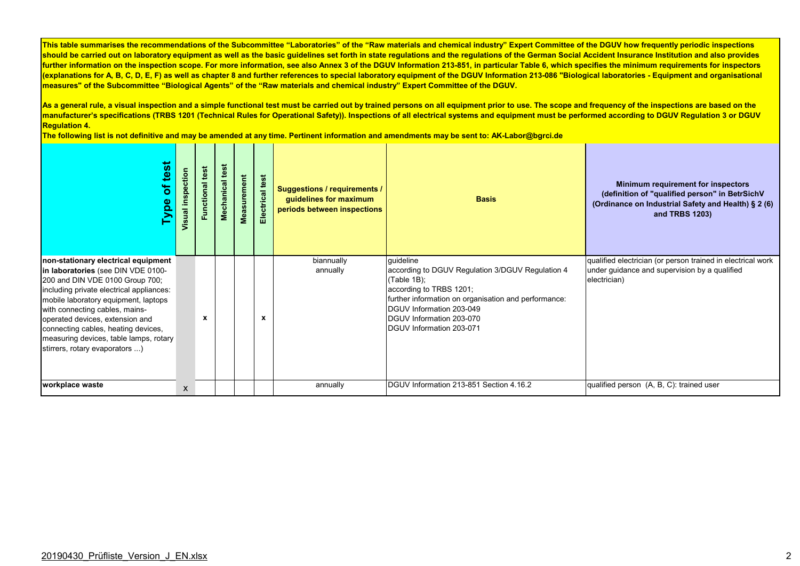As a general rule, a visual inspection and a simple functional test must be carried out by trained persons on all equipment prior to use. The scope and frequency of the inspections are based on the **manufacturer's specifications (TRBS 1201 (Technical Rules for Operational Safety)). Inspections of all electrical systems and equipment must be performed according to DGUV Regulation 3 or DGUV Regulation 4.** 

| test<br>$\overline{\sigma}$<br><b>Type</b>                                                                                                                                                                                                                                                                                                                                               | inspection<br>Visual | test<br>Functional | Mechanical test | Measurement | lectrical test<br>ш | <b>Suggestions / requirements /</b><br>guidelines for maximum<br>periods between inspections | <b>Basis</b>                                                                                                                                                                                                                                        | Minimum requirement for inspectors<br>(definition of "qualified person" in BetrSichV<br>(Ordinance on Industrial Safety and Health) § 2 (6)<br>and TRBS 1203) |
|------------------------------------------------------------------------------------------------------------------------------------------------------------------------------------------------------------------------------------------------------------------------------------------------------------------------------------------------------------------------------------------|----------------------|--------------------|-----------------|-------------|---------------------|----------------------------------------------------------------------------------------------|-----------------------------------------------------------------------------------------------------------------------------------------------------------------------------------------------------------------------------------------------------|---------------------------------------------------------------------------------------------------------------------------------------------------------------|
| non-stationary electrical equipment<br>in laboratories (see DIN VDE 0100-<br>200 and DIN VDE 0100 Group 700;<br>including private electrical appliances:<br>mobile laboratory equipment, laptops<br>with connecting cables, mains-<br>operated devices, extension and<br>connecting cables, heating devices,<br>measuring devices, table lamps, rotary<br>stirrers, rotary evaporators ) |                      | x                  |                 |             | $\mathbf x$         | biannually<br>annually                                                                       | quideline<br>according to DGUV Regulation 3/DGUV Regulation 4<br>(Table 1B);<br>according to TRBS 1201;<br>further information on organisation and performance:<br>DGUV Information 203-049<br>DGUV Information 203-070<br>DGUV Information 203-071 | qualified electrician (or person trained in electrical work<br>under guidance and supervision by a qualified<br>electrician)                                  |
| workplace waste                                                                                                                                                                                                                                                                                                                                                                          | X                    |                    |                 |             |                     | annually                                                                                     | DGUV Information 213-851 Section 4.16.2                                                                                                                                                                                                             | qualified person (A, B, C): trained user                                                                                                                      |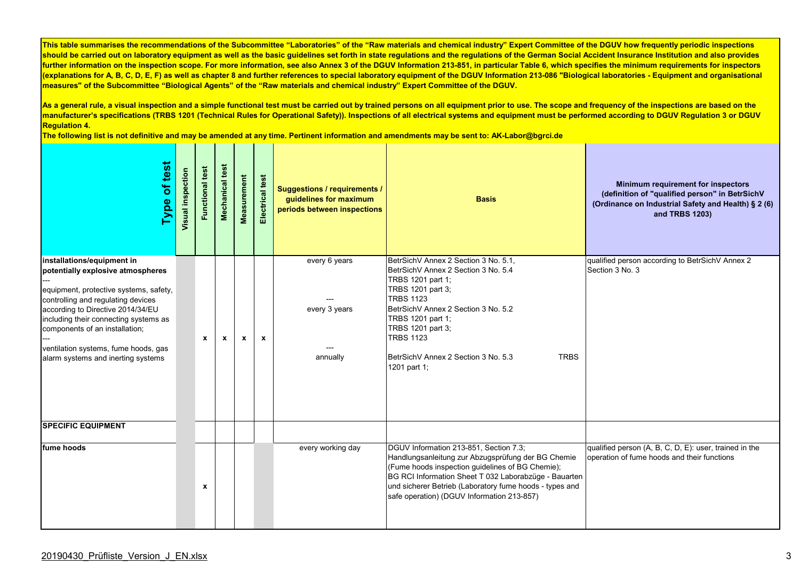As a general rule, a visual inspection and a simple functional test must be carried out by trained persons on all equipment prior to use. The scope and frequency of the inspections are based on the **manufacturer's specifications (TRBS 1201 (Technical Rules for Operational Safety)). Inspections of all electrical systems and equipment must be performed according to DGUV Regulation 3 or DGUV Regulation 4.** 

| of test<br><b>Type</b>                                                                                                                                                                                                                                                                                                                        | Visual inspection | test<br>Functional | <b>Mechanical test</b> | Measurement  | Electrical test | <b>Suggestions / requirements /</b><br>guidelines for maximum<br>periods between inspections | <b>Basis</b>                                                                                                                                                                                                                                                                                                         | Minimum requirement for inspectors<br>(definition of "qualified person" in BetrSichV<br>(Ordinance on Industrial Safety and Health) § 2 (6)<br>and TRBS 1203) |
|-----------------------------------------------------------------------------------------------------------------------------------------------------------------------------------------------------------------------------------------------------------------------------------------------------------------------------------------------|-------------------|--------------------|------------------------|--------------|-----------------|----------------------------------------------------------------------------------------------|----------------------------------------------------------------------------------------------------------------------------------------------------------------------------------------------------------------------------------------------------------------------------------------------------------------------|---------------------------------------------------------------------------------------------------------------------------------------------------------------|
| installations/equipment in<br>potentially explosive atmospheres<br>equipment, protective systems, safety,<br>controlling and regulating devices<br>according to Directive 2014/34/EU<br>including their connecting systems as<br>components of an installation;<br>ventilation systems, fume hoods, gas<br>alarm systems and inerting systems |                   | $\mathbf{x}$       | $\mathbf{x}$           | $\mathbf{x}$ | $\mathbf{x}$    | every 6 years<br>every 3 years<br>annually                                                   | BetrSichV Annex 2 Section 3 No. 5.1,<br>BetrSichV Annex 2 Section 3 No. 5.4<br>TRBS 1201 part 1;<br>TRBS 1201 part 3;<br><b>TRBS 1123</b><br>BetrSichV Annex 2 Section 3 No. 5.2<br>TRBS 1201 part 1;<br>TRBS 1201 part 3;<br><b>TRBS 1123</b><br><b>TRBS</b><br>BetrSichV Annex 2 Section 3 No. 5.3<br>1201 part 1; | qualified person according to BetrSichV Annex 2<br>Section 3 No. 3                                                                                            |
| <b>SPECIFIC EQUIPMENT</b><br>fume hoods                                                                                                                                                                                                                                                                                                       |                   |                    |                        |              |                 | every working day                                                                            | DGUV Information 213-851, Section 7.3;                                                                                                                                                                                                                                                                               | qualified person (A, B, C, D, E): user, trained in the                                                                                                        |
|                                                                                                                                                                                                                                                                                                                                               |                   | $\pmb{\chi}$       |                        |              |                 |                                                                                              | Handlungsanleitung zur Abzugsprüfung der BG Chemie<br>(Fume hoods inspection guidelines of BG Chemie);<br>BG RCI Information Sheet T 032 Laborabzüge - Bauarten<br>und sicherer Betrieb (Laboratory fume hoods - types and<br>safe operation) (DGUV Information 213-857)                                             | operation of fume hoods and their functions                                                                                                                   |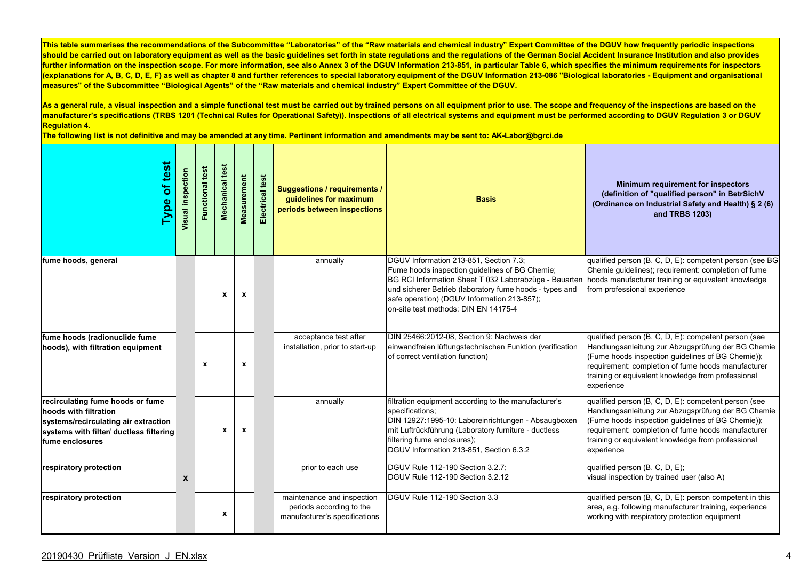As a general rule, a visual inspection and a simple functional test must be carried out by trained persons on all equipment prior to use. The scope and frequency of the inspections are based on the **manufacturer's specifications (TRBS 1201 (Technical Rules for Operational Safety)). Inspections of all electrical systems and equipment must be performed according to DGUV Regulation 3 or DGUV Regulation 4.** 

| Type of test                                                                                                                                                    | Visual inspection | <b>Functional test</b> | Mechanical test | Measurement               | test<br>Electrical | <b>Suggestions / requirements /</b><br>guidelines for maximum<br>periods between inspections | <b>Basis</b>                                                                                                                                                                                                                                                                                        | Minimum requirement for inspectors<br>(definition of "qualified person" in BetrSichV<br>(Ordinance on Industrial Safety and Health) § 2 (6)<br>and TRBS 1203)                                                                                                                             |
|-----------------------------------------------------------------------------------------------------------------------------------------------------------------|-------------------|------------------------|-----------------|---------------------------|--------------------|----------------------------------------------------------------------------------------------|-----------------------------------------------------------------------------------------------------------------------------------------------------------------------------------------------------------------------------------------------------------------------------------------------------|-------------------------------------------------------------------------------------------------------------------------------------------------------------------------------------------------------------------------------------------------------------------------------------------|
| fume hoods, general                                                                                                                                             |                   |                        | $\mathbf{x}$    | $\mathbf{x}$              |                    | annually                                                                                     | DGUV Information 213-851, Section 7.3;<br>Fume hoods inspection guidelines of BG Chemie;<br>BG RCI Information Sheet T 032 Laborabzüge - Bauarten<br>und sicherer Betrieb (laboratory fume hoods - types and<br>safe operation) (DGUV Information 213-857);<br>on-site test methods: DIN EN 14175-4 | qualified person (B, C, D, E): competent person (see BG<br>Chemie guidelines); requirement: completion of fume<br>hoods manufacturer training or equivalent knowledge<br>from professional experience                                                                                     |
| fume hoods (radionuclide fume<br>hoods), with filtration equipment                                                                                              |                   | $\mathbf{x}$           |                 | X                         |                    | acceptance test after<br>installation, prior to start-up                                     | DIN 25466:2012-08, Section 9: Nachweis der<br>einwandfreien lüftungstechnischen Funktion (verification<br>of correct ventilation function)                                                                                                                                                          | qualified person (B, C, D, E): competent person (see<br>Handlungsanleitung zur Abzugsprüfung der BG Chemie<br>(Fume hoods inspection guidelines of BG Chemie));<br>requirement: completion of fume hoods manufacturer<br>training or equivalent knowledge from professional<br>experience |
| recirculating fume hoods or fume<br>hoods with filtration<br>systems/recirculating air extraction<br>systems with filter/ ductless filtering<br>fume enclosures |                   |                        | $\mathbf{x}$    | $\boldsymbol{\mathsf{x}}$ |                    | annually                                                                                     | filtration equipment according to the manufacturer's<br>specifications;<br>DIN 12927:1995-10: Laboreinrichtungen - Absaugboxen<br>mit Luftrückführung (Laboratory furniture - ductless<br>filtering fume enclosures);<br>DGUV Information 213-851, Section 6.3.2                                    | qualified person (B, C, D, E): competent person (see<br>Handlungsanleitung zur Abzugsprüfung der BG Chemie<br>(Fume hoods inspection guidelines of BG Chemie));<br>requirement: completion of fume hoods manufacturer<br>training or equivalent knowledge from professional<br>experience |
| respiratory protection                                                                                                                                          | $\boldsymbol{x}$  |                        |                 |                           |                    | prior to each use                                                                            | DGUV Rule 112-190 Section 3.2.7;<br>DGUV Rule 112-190 Section 3.2.12                                                                                                                                                                                                                                | qualified person (B, C, D, E);<br>visual inspection by trained user (also A)                                                                                                                                                                                                              |
| respiratory protection                                                                                                                                          |                   |                        | $\mathbf{x}$    |                           |                    | maintenance and inspection<br>periods according to the<br>manufacturer's specifications      | DGUV Rule 112-190 Section 3.3                                                                                                                                                                                                                                                                       | qualified person (B, C, D, E): person competent in this<br>area, e.g. following manufacturer training, experience<br>working with respiratory protection equipment                                                                                                                        |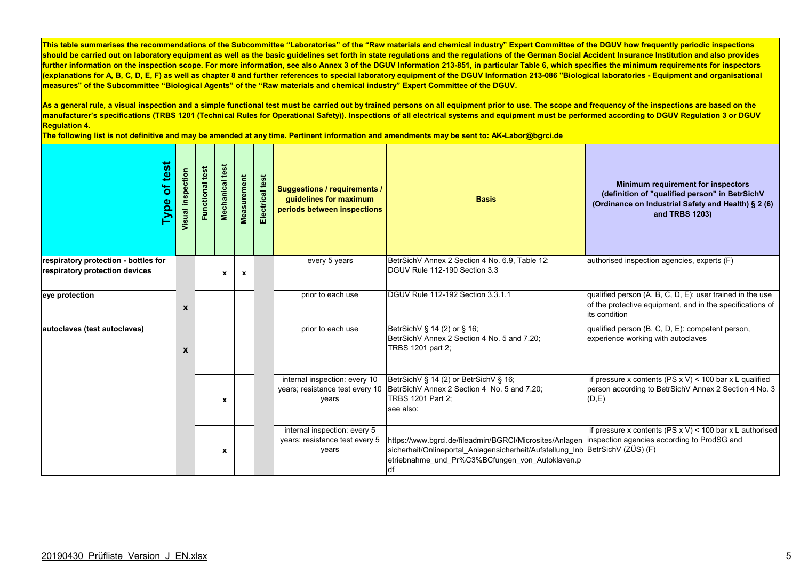As a general rule, a visual inspection and a simple functional test must be carried out by trained persons on all equipment prior to use. The scope and frequency of the inspections are based on the **manufacturer's specifications (TRBS 1201 (Technical Rules for Operational Safety)). Inspections of all electrical systems and equipment must be performed according to DGUV Regulation 3 or DGUV Regulation 4.** 

| of test<br>Type                                                        | Visual inspection | test<br>Functional | Mechanical test  | Measurement  | Electrical test | <b>Suggestions / requirements /</b><br>guidelines for maximum<br>periods between inspections | <b>Basis</b>                                                                                                                                                                                      | Minimum requirement for inspectors<br>(definition of "qualified person" in BetrSichV<br>(Ordinance on Industrial Safety and Health) § 2 (6)<br>and TRBS 1203) |
|------------------------------------------------------------------------|-------------------|--------------------|------------------|--------------|-----------------|----------------------------------------------------------------------------------------------|---------------------------------------------------------------------------------------------------------------------------------------------------------------------------------------------------|---------------------------------------------------------------------------------------------------------------------------------------------------------------|
| respiratory protection - bottles for<br>respiratory protection devices |                   |                    | $\mathbf{x}$     | $\mathbf{x}$ |                 | every 5 years                                                                                | BetrSichV Annex 2 Section 4 No. 6.9, Table 12;<br>DGUV Rule 112-190 Section 3.3                                                                                                                   | authorised inspection agencies, experts (F)                                                                                                                   |
| eye protection                                                         | X                 |                    |                  |              |                 | prior to each use                                                                            | DGUV Rule 112-192 Section 3.3.1.1                                                                                                                                                                 | qualified person (A, B, C, D, E): user trained in the use<br>of the protective equipment, and in the specifications of<br>its condition                       |
| autoclaves (test autoclaves)                                           | X                 |                    |                  |              |                 | prior to each use                                                                            | BetrSichV § 14 (2) or § 16;<br>BetrSichV Annex 2 Section 4 No. 5 and 7.20:<br>TRBS 1201 part 2;                                                                                                   | qualified person (B, C, D, E): competent person,<br>experience working with autoclaves                                                                        |
|                                                                        |                   |                    | X                |              |                 | internal inspection: every 10<br>years; resistance test every 10<br>years                    | BetrSichV § 14 (2) or BetrSichV § 16;<br>BetrSichV Annex 2 Section 4 No. 5 and 7.20;<br>TRBS 1201 Part 2:<br>see also:                                                                            | if pressure x contents (PS $x$ V) < 100 bar x L qualified<br>person according to BetrSichV Annex 2 Section 4 No. 3<br>(D,E)                                   |
|                                                                        |                   |                    | $\boldsymbol{x}$ |              |                 | internal inspection: every 5<br>years; resistance test every 5<br>years                      | https://www.bqrci.de/fileadmin/BGRCI/Microsites/Anlagen<br>sicherheit/Onlineportal_Anlagensicherheit/Aufstellung_Inb BetrSichV (ZÜS) (F)<br>etriebnahme und Pr%C3%BCfungen von Autoklaven.p<br>df | if pressure x contents (PS $x$ V) < 100 bar x L authorised<br>inspection agencies according to ProdSG and                                                     |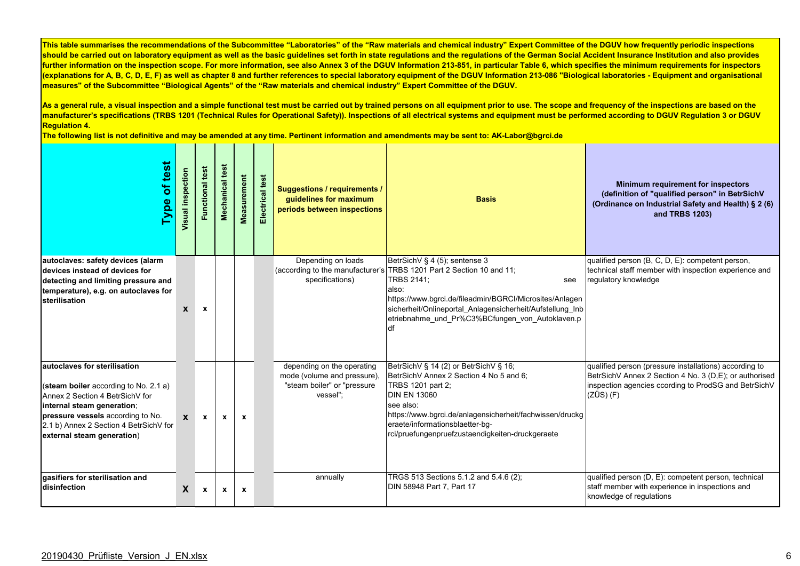As a general rule, a visual inspection and a simple functional test must be carried out by trained persons on all equipment prior to use. The scope and frequency of the inspections are based on the **manufacturer's specifications (TRBS 1201 (Technical Rules for Operational Safety)). Inspections of all electrical systems and equipment must be performed according to DGUV Regulation 3 or DGUV Regulation 4.** 

| of test<br><b>Type</b>                                                                                                                                                                                                                              | Visual inspection | <b>Functional test</b> | Mechanical test | Measurement  | Electrical test | <b>Suggestions / requirements /</b><br>quidelines for maximum<br>periods between inspections         | <b>Basis</b>                                                                                                                                                                                                                                                                                                                | Minimum requirement for inspectors<br>(definition of "qualified person" in BetrSichV<br>(Ordinance on Industrial Safety and Health) § 2 (6)<br>and TRBS 1203)                           |
|-----------------------------------------------------------------------------------------------------------------------------------------------------------------------------------------------------------------------------------------------------|-------------------|------------------------|-----------------|--------------|-----------------|------------------------------------------------------------------------------------------------------|-----------------------------------------------------------------------------------------------------------------------------------------------------------------------------------------------------------------------------------------------------------------------------------------------------------------------------|-----------------------------------------------------------------------------------------------------------------------------------------------------------------------------------------|
| autoclaves: safety devices (alarm<br>devices instead of devices for<br>detecting and limiting pressure and<br>temperature), e.g. on autoclaves for<br>sterilisation                                                                                 | X                 | $\mathbf x$            |                 |              |                 | Depending on loads<br>specifications)                                                                | BetrSichV § 4 (5); sentense 3<br>(according to the manufacturer's TRBS 1201 Part 2 Section 10 and 11;<br><b>TRBS 2141;</b><br>see<br>also:<br>https://www.bgrci.de/fileadmin/BGRCI/Microsites/Anlagen<br>sicherheit/Onlineportal Anlagensicherheit/Aufstellung Inb<br>etriebnahme und Pr%C3%BCfungen von Autoklaven.p<br>df | qualified person (B, C, D, E): competent person,<br>technical staff member with inspection experience and<br>regulatory knowledge                                                       |
| autoclaves for sterilisation<br>(steam boiler according to No. 2.1 a)<br>Annex 2 Section 4 BetrSichV for<br>internal steam generation;<br>pressure vessels according to No.<br>2.1 b) Annex 2 Section 4 BetrSichV for<br>external steam generation) | $\mathbf{x}$      | $\mathbf{x}$           | $\mathbf{x}$    | $\mathbf{x}$ |                 | depending on the operating<br>mode (volume and pressure),<br>"steam boiler" or "pressure<br>vessel"; | BetrSichV § 14 (2) or BetrSichV § 16;<br>BetrSichV Annex 2 Section 4 No 5 and 6;<br>TRBS 1201 part 2;<br><b>DIN EN 13060</b><br>see also:<br>https://www.bgrci.de/anlagensicherheit/fachwissen/druckg<br>eraete/informationsblaetter-bg-<br>rci/pruefungenpruefzustaendigkeiten-druckgeraete                                | qualified person (pressure installations) according to<br>BetrSichV Annex 2 Section 4 No. 3 (D,E); or authorised<br>inspection agencies ccording to ProdSG and BetrSichV<br>$(ZÜS)$ (F) |
| gasifiers for sterilisation and<br>disinfection                                                                                                                                                                                                     | X                 | $\mathbf{x}$           | $\mathbf x$     | $\mathbf x$  |                 | annually                                                                                             | TRGS 513 Sections 5.1.2 and 5.4.6 (2);<br>DIN 58948 Part 7, Part 17                                                                                                                                                                                                                                                         | qualified person (D, E): competent person, technical<br>staff member with experience in inspections and<br>knowledge of regulations                                                     |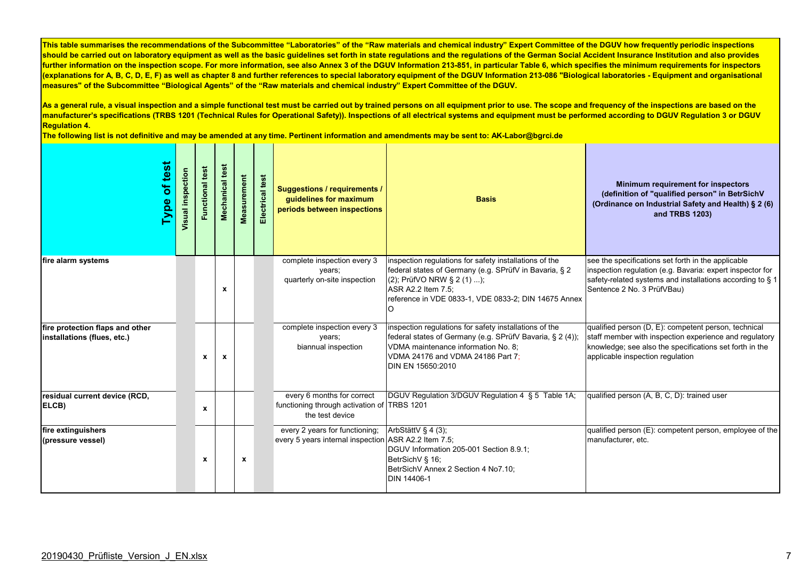As a general rule, a visual inspection and a simple functional test must be carried out by trained persons on all equipment prior to use. The scope and frequency of the inspections are based on the **manufacturer's specifications (TRBS 1201 (Technical Rules for Operational Safety)). Inspections of all electrical systems and equipment must be performed according to DGUV Regulation 3 or DGUV Regulation 4.** 

| test<br>Ⴆ<br>Type                                              | Visual inspection | Functional test | test<br>Mechanical | Measurement | Electrical test | <b>Suggestions / requirements /</b><br>quidelines for maximum<br>periods between inspections | <b>Basis</b>                                                                                                                                                                                                                      | Minimum requirement for inspectors<br>(definition of "qualified person" in BetrSichV<br>(Ordinance on Industrial Safety and Health) § 2 (6)<br>and TRBS 1203)                                                 |
|----------------------------------------------------------------|-------------------|-----------------|--------------------|-------------|-----------------|----------------------------------------------------------------------------------------------|-----------------------------------------------------------------------------------------------------------------------------------------------------------------------------------------------------------------------------------|---------------------------------------------------------------------------------------------------------------------------------------------------------------------------------------------------------------|
| fire alarm systems                                             |                   |                 | x                  |             |                 | complete inspection every 3<br>years;<br>quarterly on-site inspection                        | inspection regulations for safety installations of the<br>federal states of Germany (e.g. SPrüfV in Bavaria, § 2<br>(2); PrüfVO NRW § 2 (1) );<br>ASR A2.2 Item 7.5;<br>reference in VDE 0833-1, VDE 0833-2; DIN 14675 Annex<br>O | see the specifications set forth in the applicable<br>inspection regulation (e.g. Bavaria: expert inspector for<br>safety-related systems and installations according to § 1<br>Sentence 2 No. 3 PrüfVBau)    |
| fire protection flaps and other<br>installations (flues, etc.) |                   | $\mathbf{x}$    | $\mathbf{x}$       |             |                 | complete inspection every 3<br>years;<br>biannual inspection                                 | inspection regulations for safety installations of the<br>federal states of Germany (e.g. SPrüfV Bavaria, § 2 (4));<br>VDMA maintenance information No. 8;<br>VDMA 24176 and VDMA 24186 Part 7;<br>DIN EN 15650:2010              | qualified person (D, E): competent person, technical<br>staff member with inspection experience and regulatory<br>knowledge; see also the specifications set forth in the<br>applicable inspection regulation |
| residual current device (RCD,<br>ELCB)                         |                   | $\mathbf{x}$    |                    |             |                 | every 6 months for correct<br>functioning through activation of TRBS 1201<br>the test device | DGUV Regulation 3/DGUV Regulation 4 § 5 Table 1A;                                                                                                                                                                                 | qualified person (A, B, C, D): trained user                                                                                                                                                                   |
| fire extinguishers<br>(pressure vessel)                        |                   | x               |                    | $\mathbf x$ |                 | every 2 years for functioning;<br>every 5 years internal inspection ASR A2.2 Item 7.5;       | ArbStättV § 4 (3);<br>DGUV Information 205-001 Section 8.9.1;<br>BetrSichV § 16;<br>BetrSichV Annex 2 Section 4 No7.10;<br>DIN 14406-1                                                                                            | qualified person (E): competent person, employee of the<br>manufacturer, etc.                                                                                                                                 |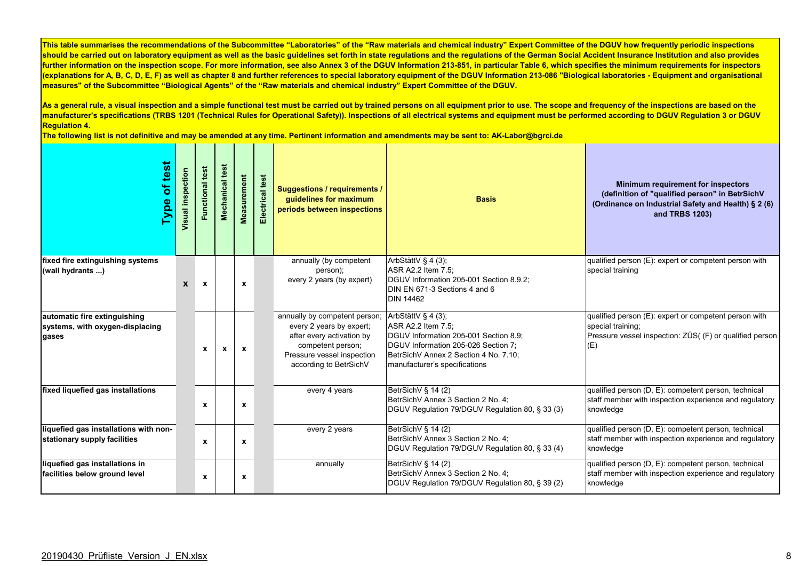As a general rule, a visual inspection and a simple functional test must be carried out by trained persons on all equipment prior to use. The scope and frequency of the inspections are based on the **manufacturer's specifications (TRBS 1201 (Technical Rules for Operational Safety)). Inspections of all electrical systems and equipment must be performed according to DGUV Regulation 3 or DGUV Regulation 4.** 

| test<br>$\overline{\sigma}$<br><b>Type</b>                               | Visual inspection | test<br>Functional | test<br><b>Mechanical</b> | <b>Measurement</b> | Electrical test | <b>Suggestions / requirements /</b><br>guidelines for maximum<br>periods between inspections                                                                                                   | <b>Basis</b>                                                                                                                                                                 | <b>Minimum requirement for inspectors</b><br>(definition of "qualified person" in BetrSichV<br>(Ordinance on Industrial Safety and Health) § 2 (6)<br>and TRBS 1203) |
|--------------------------------------------------------------------------|-------------------|--------------------|---------------------------|--------------------|-----------------|------------------------------------------------------------------------------------------------------------------------------------------------------------------------------------------------|------------------------------------------------------------------------------------------------------------------------------------------------------------------------------|----------------------------------------------------------------------------------------------------------------------------------------------------------------------|
| fixed fire extinguishing systems<br>(wall hydrants )                     | X                 | $\mathbf{x}$       |                           | $\pmb{\chi}$       |                 | annually (by competent<br>person);<br>every 2 years (by expert)                                                                                                                                | ArbStättV § 4 (3);<br>ASR A2.2 Item 7.5;<br>DGUV Information 205-001 Section 8.9.2;<br>DIN EN 671-3 Sections 4 and 6<br><b>DIN 14462</b>                                     | qualified person (E): expert or competent person with<br>special training                                                                                            |
| automatic fire extinguishing<br>systems, with oxygen-displacing<br>gases |                   | $\mathbf{x}$       | $\mathbf{x}$              | $\mathbf{x}$       |                 | annually by competent person; $\vert$ ArbStättV § 4 (3);<br>every 2 years by expert;<br>after every activation by<br>competent person;<br>Pressure vessel inspection<br>according to BetrSichV | ASR A2.2 Item 7.5;<br>DGUV Information 205-001 Section 8.9;<br>DGUV Information 205-026 Section 7;<br>BetrSichV Annex 2 Section 4 No. 7.10:<br>manufacturer's specifications | qualified person (E): expert or competent person with<br>special training;<br>Pressure vessel inspection: ZÜS( (F) or qualified person<br>(E)                        |
| fixed liquefied gas installations                                        |                   | x                  |                           | x                  |                 | every 4 years                                                                                                                                                                                  | BetrSichV § 14 (2)<br>BetrSichV Annex 3 Section 2 No. 4;<br>DGUV Regulation 79/DGUV Regulation 80, § 33 (3)                                                                  | qualified person (D, E): competent person, technical<br>staff member with inspection experience and regulatory<br>knowledge                                          |
| liquefied gas installations with non-<br>stationary supply facilities    |                   | x                  |                           | X                  |                 | every 2 years                                                                                                                                                                                  | BetrSichV § 14 (2)<br>BetrSichV Annex 3 Section 2 No. 4;<br>DGUV Regulation 79/DGUV Regulation 80, § 33 (4)                                                                  | qualified person (D, E): competent person, technical<br>staff member with inspection experience and regulatory<br>knowledge                                          |
| liquefied gas installations in<br>facilities below ground level          |                   | $\pmb{\chi}$       |                           | $\mathbf x$        |                 | annually                                                                                                                                                                                       | BetrSichV § 14 (2)<br>BetrSichV Annex 3 Section 2 No. 4;<br>DGUV Regulation 79/DGUV Regulation 80, § 39 (2)                                                                  | qualified person (D, E): competent person, technical<br>staff member with inspection experience and regulatory<br>knowledge                                          |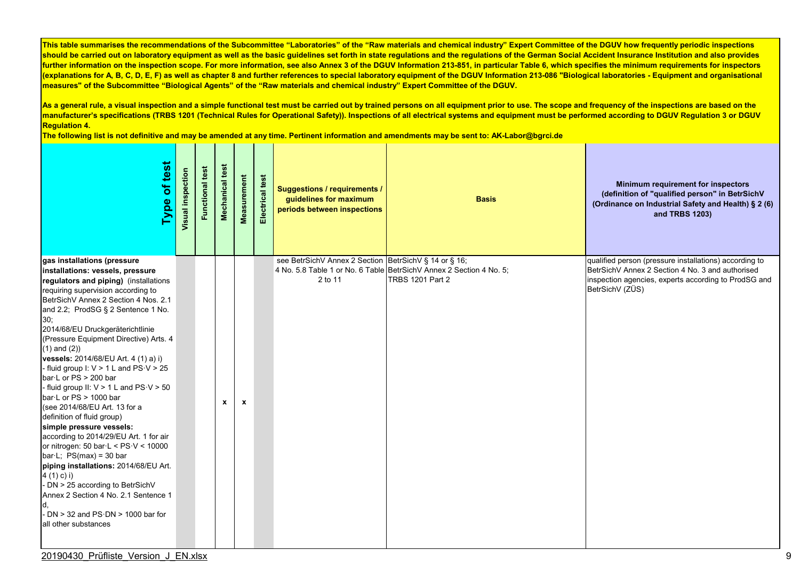As a general rule, a visual inspection and a simple functional test must be carried out by trained persons on all equipment prior to use. The scope and frequency of the inspections are based on the **manufacturer's specifications (TRBS 1201 (Technical Rules for Operational Safety)). Inspections of all electrical systems and equipment must be performed according to DGUV Regulation 3 or DGUV Regulation 4.** 

| test<br>$\overline{\mathbf{b}}$<br>Type                                                                                                                                                                                                                                                                                                                                                                                                                                                                                                                                                                                                                                                                                                                                                                                                                                                                                                                                                       | Visual inspection | test<br>Functional | Mechanical test | Measurement  | Electrical test | <b>Suggestions / requirements /</b><br>guidelines for maximum<br>periods between inspections | <b>Basis</b>                                                                                   | Minimum requirement for inspectors<br>(definition of "qualified person" in BetrSichV<br>(Ordinance on Industrial Safety and Health) § 2 (6)<br>and TRBS 1203)                         |
|-----------------------------------------------------------------------------------------------------------------------------------------------------------------------------------------------------------------------------------------------------------------------------------------------------------------------------------------------------------------------------------------------------------------------------------------------------------------------------------------------------------------------------------------------------------------------------------------------------------------------------------------------------------------------------------------------------------------------------------------------------------------------------------------------------------------------------------------------------------------------------------------------------------------------------------------------------------------------------------------------|-------------------|--------------------|-----------------|--------------|-----------------|----------------------------------------------------------------------------------------------|------------------------------------------------------------------------------------------------|---------------------------------------------------------------------------------------------------------------------------------------------------------------------------------------|
| gas installations (pressure<br>installations: vessels, pressure<br>regulators and piping) (installations<br>requiring supervision according to<br>BetrSichV Annex 2 Section 4 Nos. 2.1<br>and 2.2; ProdSG § 2 Sentence 1 No.<br>30;<br>2014/68/EU Druckgeräterichtlinie<br>(Pressure Equipment Directive) Arts. 4<br>$(1)$ and $(2)$ )<br>vessels: 2014/68/EU Art. 4 (1) a) i)<br>- fluid group I: $V > 1$ L and $PS \cdot V > 25$<br>$bar L$ or PS $> 200$ bar<br>- fluid group II: $V > 1$ L and $PS \cdot V > 50$<br>$bar L$ or PS > 1000 bar<br>(see 2014/68/EU Art. 13 for a<br>definition of fluid group)<br>simple pressure vessels:<br>according to 2014/29/EU Art. 1 for air<br>or nitrogen: 50 bar $\cdot$ L < PS $\cdot$ V < 10000<br>bar $\cdot$ L; PS(max) = 30 bar<br>piping installations: 2014/68/EU Art.<br>4(1) c) i)<br>- DN > 25 according to BetrSichV<br>Annex 2 Section 4 No. 2.1 Sentence 1<br>- DN $>$ 32 and PS $\cdot$ DN $>$ 1000 bar for<br>all other substances |                   |                    | $\mathbf{x}$    | $\mathbf{x}$ |                 | see BetrSichV Annex 2 Section BetrSichV § 14 or § 16;<br>2 to 11                             | 4 No. 5.8 Table 1 or No. 6 Table BetrSichV Annex 2 Section 4 No. 5;<br><b>TRBS 1201 Part 2</b> | qualified person (pressure installations) according to<br>BetrSichV Annex 2 Section 4 No. 3 and authorised<br>inspection agencies, experts according to ProdSG and<br>BetrSichV (ZÜS) |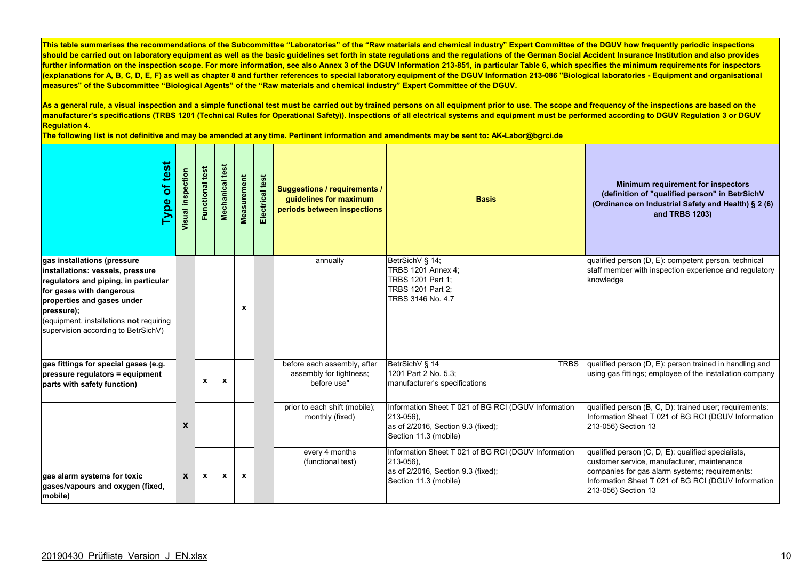As a general rule, a visual inspection and a simple functional test must be carried out by trained persons on all equipment prior to use. The scope and frequency of the inspections are based on the **manufacturer's specifications (TRBS 1201 (Technical Rules for Operational Safety)). Inspections of all electrical systems and equipment must be performed according to DGUV Regulation 3 or DGUV Regulation 4.** 

| of test<br>Type                                                                                                                                                                                                                                                   | Visual inspection | Functional test | test<br>Mechanical | Measurement  | Electrical test | <b>Suggestions / requirements /</b><br>guidelines for maximum<br>periods between inspections | <b>Basis</b>                                                                                                                         | Minimum requirement for inspectors<br>(definition of "qualified person" in BetrSichV<br>(Ordinance on Industrial Safety and Health) § 2 (6)<br>and TRBS 1203)                                                                     |
|-------------------------------------------------------------------------------------------------------------------------------------------------------------------------------------------------------------------------------------------------------------------|-------------------|-----------------|--------------------|--------------|-----------------|----------------------------------------------------------------------------------------------|--------------------------------------------------------------------------------------------------------------------------------------|-----------------------------------------------------------------------------------------------------------------------------------------------------------------------------------------------------------------------------------|
| gas installations (pressure<br>installations: vessels, pressure<br>regulators and piping, in particular<br>for gases with dangerous<br>properties and gases under<br>pressure);<br>(equipment, installations not requiring<br>supervision according to BetrSichV) |                   |                 |                    | X            |                 | annually                                                                                     | BetrSichV § 14;<br><b>TRBS 1201 Annex 4:</b><br>TRBS 1201 Part 1:<br>TRBS 1201 Part 2;<br>TRBS 3146 No. 4.7                          | qualified person (D, E): competent person, technical<br>staff member with inspection experience and regulatory<br>knowledge                                                                                                       |
| gas fittings for special gases (e.g.<br>pressure regulators = equipment<br>parts with safety function)                                                                                                                                                            |                   | $\mathbf{x}$    | $\mathbf{x}$       |              |                 | before each assembly, after<br>assembly for tightness;<br>before use"                        | BetrSichV § 14<br><b>TRBS</b><br>1201 Part 2 No. 5.3;<br>manufacturer's specifications                                               | qualified person (D, E): person trained in handling and<br>using gas fittings; employee of the installation company                                                                                                               |
|                                                                                                                                                                                                                                                                   | X                 |                 |                    |              |                 | prior to each shift (mobile);<br>monthly (fixed)                                             | Information Sheet T 021 of BG RCI (DGUV Information<br>213-056).<br>as of 2/2016, Section 9.3 (fixed);<br>Section 11.3 (mobile)      | qualified person (B, C, D): trained user; requirements:<br>Information Sheet T 021 of BG RCI (DGUV Information<br>213-056) Section 13                                                                                             |
| gas alarm systems for toxic<br>gases/vapours and oxygen (fixed,<br>mobile)                                                                                                                                                                                        | $\mathbf{x}$      | $\mathbf{x}$    | $\mathbf{x}$       | $\mathbf{x}$ |                 | every 4 months<br>(functional test)                                                          | Information Sheet T 021 of BG RCI (DGUV Information<br>$213 - 056$ ).<br>as of 2/2016, Section 9.3 (fixed);<br>Section 11.3 (mobile) | qualified person (C, D, E): qualified specialists,<br>customer service, manufacturer, maintenance<br>companies for gas alarm systems; requirements:<br>Information Sheet T 021 of BG RCI (DGUV Information<br>213-056) Section 13 |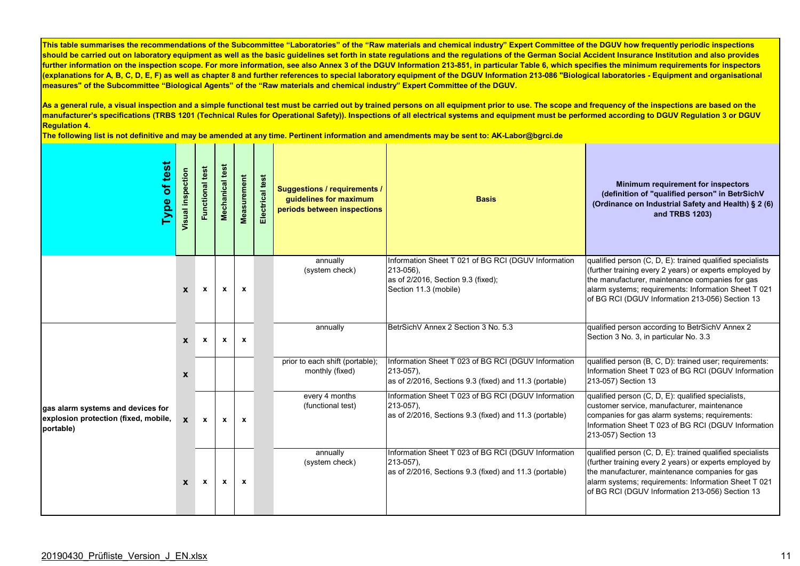As a general rule, a visual inspection and a simple functional test must be carried out by trained persons on all equipment prior to use. The scope and frequency of the inspections are based on the **manufacturer's specifications (TRBS 1201 (Technical Rules for Operational Safety)). Inspections of all electrical systems and equipment must be performed according to DGUV Regulation 3 or DGUV Regulation 4.** 

| test<br>ð<br><b>Type</b>                                                               | Visual inspection         | test<br>Functional | test<br>Mechanical        | <b>Measurement</b> | Electrical test | <b>Suggestions / requirements /</b><br>guidelines for maximum<br>periods between inspections | <b>Basis</b>                                                                                                                         | Minimum requirement for inspectors<br>(definition of "qualified person" in BetrSichV<br>(Ordinance on Industrial Safety and Health) § 2 (6)<br>and TRBS 1203)                                                                                                                      |
|----------------------------------------------------------------------------------------|---------------------------|--------------------|---------------------------|--------------------|-----------------|----------------------------------------------------------------------------------------------|--------------------------------------------------------------------------------------------------------------------------------------|------------------------------------------------------------------------------------------------------------------------------------------------------------------------------------------------------------------------------------------------------------------------------------|
|                                                                                        | $\mathbf{x}$              | $\mathbf x$        | $\mathbf{x}$              | $\mathbf{x}$       |                 | annually<br>(system check)                                                                   | Information Sheet T 021 of BG RCI (DGUV Information<br>$213 - 056$ ).<br>as of 2/2016, Section 9.3 (fixed);<br>Section 11.3 (mobile) | qualified person (C, D, E): trained qualified specialists<br>(further training every 2 years) or experts employed by<br>the manufacturer, maintenance companies for gas<br>alarm systems; requirements: Information Sheet T 021<br>of BG RCI (DGUV Information 213-056) Section 13 |
|                                                                                        | $\mathbf{x}$              | $\mathbf{x}$       | $\boldsymbol{\mathsf{x}}$ | $\mathbf{x}$       |                 | annually                                                                                     | BetrSichV Annex 2 Section 3 No. 5.3                                                                                                  | qualified person according to BetrSichV Annex 2<br>Section 3 No. 3, in particular No. 3.3                                                                                                                                                                                          |
|                                                                                        | $\boldsymbol{\mathsf{x}}$ |                    |                           |                    |                 | prior to each shift (portable);<br>monthly (fixed)                                           | Information Sheet T 023 of BG RCI (DGUV Information<br>$213 - 057$ ),<br>as of 2/2016, Sections 9.3 (fixed) and 11.3 (portable)      | qualified person (B, C, D): trained user; requirements:<br>Information Sheet T 023 of BG RCI (DGUV Information<br>213-057) Section 13                                                                                                                                              |
| gas alarm systems and devices for<br>explosion protection (fixed, mobile,<br>portable) | $\mathbf{x}$              | $\mathbf{x}$       | $\mathbf{x}$              | $\mathbf{x}$       |                 | every 4 months<br>(functional test)                                                          | Information Sheet T 023 of BG RCI (DGUV Information<br>$213 - 057$ ),<br>as of 2/2016, Sections 9.3 (fixed) and 11.3 (portable)      | qualified person (C, D, E): qualified specialists,<br>customer service, manufacturer, maintenance<br>companies for gas alarm systems; requirements:<br>Information Sheet T 023 of BG RCI (DGUV Information<br>213-057) Section 13                                                  |
|                                                                                        | $\mathbf{x}$              | $\mathbf{x}$       | $\mathbf{x}$              | $\mathbf{x}$       |                 | annually<br>(system check)                                                                   | Information Sheet T 023 of BG RCI (DGUV Information<br>$213 - 057$ ),<br>as of 2/2016, Sections 9.3 (fixed) and 11.3 (portable)      | qualified person (C, D, E): trained qualified specialists<br>(further training every 2 years) or experts employed by<br>the manufacturer, maintenance companies for gas<br>alarm systems; requirements: Information Sheet T 021<br>of BG RCI (DGUV Information 213-056) Section 13 |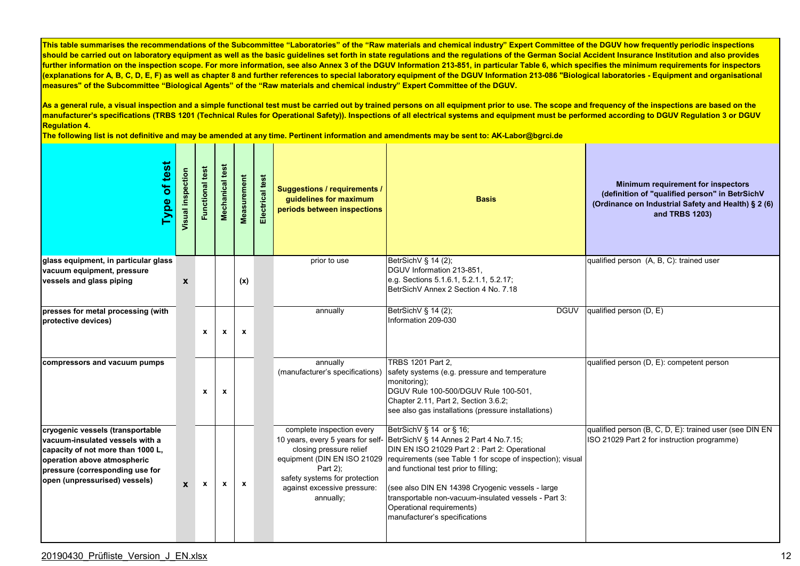As a general rule, a visual inspection and a simple functional test must be carried out by trained persons on all equipment prior to use. The scope and frequency of the inspections are based on the **manufacturer's specifications (TRBS 1201 (Technical Rules for Operational Safety)). Inspections of all electrical systems and equipment must be performed according to DGUV Regulation 3 or DGUV Regulation 4.** 

**The following list is not definitive and may be amended at any time. Pertinent information and amendments may be sent to: AK-Labor@bgrci.de**

| Type of test                                                                                                                                                                                                | Visual inspection         | <b>Functional test</b> | test<br>Mechanical | Measurement  | Electrical test | <b>Suggestions / requirements /</b><br>guidelines for maximum<br>periods between inspections                                                                                 | <b>Basis</b>                                                                                                                                                                                                                                                                                                                                                                                                                          | Minimum requirement for inspectors<br>(definition of "qualified person" in BetrSichV<br>(Ordinance on Industrial Safety and Health) § 2 (6)<br>and TRBS 1203) |
|-------------------------------------------------------------------------------------------------------------------------------------------------------------------------------------------------------------|---------------------------|------------------------|--------------------|--------------|-----------------|------------------------------------------------------------------------------------------------------------------------------------------------------------------------------|---------------------------------------------------------------------------------------------------------------------------------------------------------------------------------------------------------------------------------------------------------------------------------------------------------------------------------------------------------------------------------------------------------------------------------------|---------------------------------------------------------------------------------------------------------------------------------------------------------------|
| glass equipment, in particular glass<br>vacuum equipment, pressure                                                                                                                                          |                           |                        |                    |              |                 | prior to use                                                                                                                                                                 | BetrSichV § 14 (2),<br>DGUV Information 213-851,                                                                                                                                                                                                                                                                                                                                                                                      | qualified person (A, B, C): trained user                                                                                                                      |
| vessels and glass piping                                                                                                                                                                                    | $\boldsymbol{\mathsf{x}}$ |                        |                    | (x)          |                 |                                                                                                                                                                              | e.g. Sections 5.1.6.1, 5.2.1.1, 5.2.17;<br>BetrSichV Annex 2 Section 4 No. 7.18                                                                                                                                                                                                                                                                                                                                                       |                                                                                                                                                               |
| presses for metal processing (with<br>protective devices)                                                                                                                                                   |                           | $\mathbf{x}$           | $\mathbf{x}$       | $\mathbf{x}$ |                 | annually                                                                                                                                                                     | BetrSichV § 14 (2);<br><b>DGUV</b><br>Information 209-030                                                                                                                                                                                                                                                                                                                                                                             | qualified person $(D, E)$                                                                                                                                     |
| compressors and vacuum pumps                                                                                                                                                                                |                           | $\mathbf x$            | $\mathbf x$        |              |                 | annually<br>(manufacturer's specifications)                                                                                                                                  | <b>TRBS 1201 Part 2.</b><br>safety systems (e.g. pressure and temperature<br>monitoring);<br>DGUV Rule 100-500/DGUV Rule 100-501,<br>Chapter 2.11, Part 2, Section 3.6.2;<br>see also gas installations (pressure installations)                                                                                                                                                                                                      | qualified person (D, E): competent person                                                                                                                     |
| cryogenic vessels (transportable<br>vacuum-insulated vessels with a<br>capacity of not more than 1000 L,<br>operation above atmospheric<br>pressure (corresponding use for<br>open (unpressurised) vessels) | $\mathbf{x}$              | $\mathbf{x}$           | $\mathbf{x}$       | $\mathbf{x}$ |                 | complete inspection every<br>closing pressure relief<br>equipment (DIN EN ISO 21029<br>Part 2);<br>safety systems for protection<br>against excessive pressure:<br>annually; | BetrSichV § 14 or § 16;<br>10 years, every 5 years for self- BetrSichV § 14 Annes 2 Part 4 No.7.15;<br>DIN EN ISO 21029 Part 2 : Part 2: Operational<br>requirements (see Table 1 for scope of inspection); visual<br>and functional test prior to filling;<br>(see also DIN EN 14398 Cryogenic vessels - large<br>transportable non-vacuum-insulated vessels - Part 3:<br>Operational requirements)<br>manufacturer's specifications | qualified person (B, C, D, E): trained user (see DIN EN<br>ISO 21029 Part 2 for instruction programme)                                                        |

## 20190430\_Prüfliste\_Version\_J\_EN.xlsx 12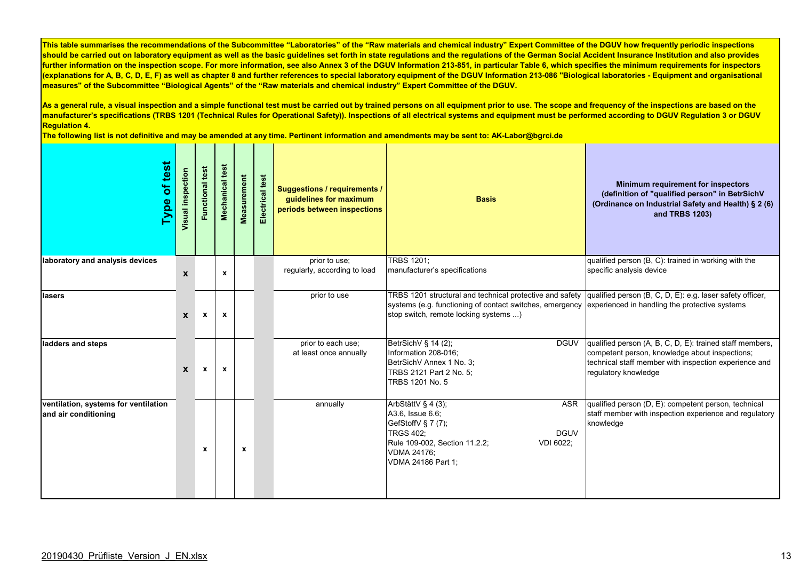As a general rule, a visual inspection and a simple functional test must be carried out by trained persons on all equipment prior to use. The scope and frequency of the inspections are based on the **manufacturer's specifications (TRBS 1201 (Technical Rules for Operational Safety)). Inspections of all electrical systems and equipment must be performed according to DGUV Regulation 3 or DGUV Regulation 4.** 

| Type of test                                                 | Visual inspection | <b>Functional test</b> | Mechanical test | Measurement | Electrical test | <b>Suggestions / requirements /</b><br>guidelines for maximum<br>periods between inspections | <b>Basis</b>                                                                                                                                                                                                                                                           | Minimum requirement for inspectors<br>(definition of "qualified person" in BetrSichV<br>(Ordinance on Industrial Safety and Health) § 2 (6)<br>and TRBS 1203)                               |
|--------------------------------------------------------------|-------------------|------------------------|-----------------|-------------|-----------------|----------------------------------------------------------------------------------------------|------------------------------------------------------------------------------------------------------------------------------------------------------------------------------------------------------------------------------------------------------------------------|---------------------------------------------------------------------------------------------------------------------------------------------------------------------------------------------|
| laboratory and analysis devices                              | $\boldsymbol{x}$  |                        | $\mathbf x$     |             |                 | prior to use;<br>regularly, according to load                                                | <b>TRBS 1201:</b><br>manufacturer's specifications                                                                                                                                                                                                                     | qualified person (B, C): trained in working with the<br>specific analysis device                                                                                                            |
| lasers                                                       | X                 | $\mathbf{x}$           | $\pmb{\chi}$    |             |                 | prior to use                                                                                 | TRBS 1201 structural and technical protective and safety qualified person (B, C, D, E): e.g. laser safety officer,<br>systems (e.g. functioning of contact switches, emergency experienced in handling the protective systems<br>stop switch, remote locking systems ) |                                                                                                                                                                                             |
| ladders and steps                                            | $\mathbf{x}$      | $\mathbf{x}$           | $\mathbf x$     |             |                 | prior to each use;<br>at least once annually                                                 | BetrSichV § 14 (2),<br><b>DGUV</b><br>Information 208-016;<br>BetrSichV Annex 1 No. 3;<br>TRBS 2121 Part 2 No. 5;<br>TRBS 1201 No. 5                                                                                                                                   | qualified person (A, B, C, D, E): trained staff members,<br>competent person, knowledge about inspections;<br>technical staff member with inspection experience and<br>regulatory knowledge |
| ventilation, systems for ventilation<br>and air conditioning |                   | $\mathbf x$            |                 | $\mathbf x$ |                 | annually                                                                                     | ArbStättV § 4 (3);<br>ASR<br>A3.6, Issue 6.6;<br>GefStoffV § 7 (7);<br><b>TRGS 402:</b><br><b>DGUV</b><br>Rule 109-002, Section 11.2.2;<br>VDI 6022;<br><b>VDMA 24176;</b><br>VDMA 24186 Part 1;                                                                       | qualified person (D, E): competent person, technical<br>staff member with inspection experience and regulatory<br>knowledge                                                                 |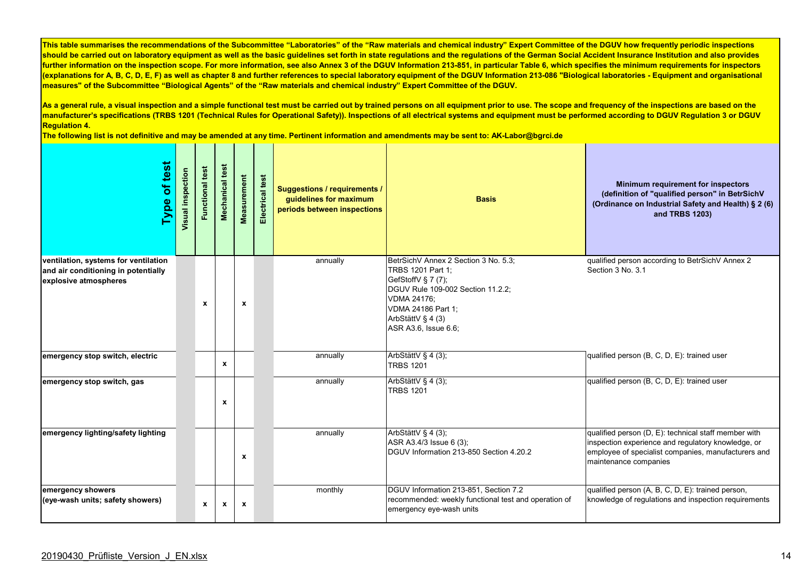As a general rule, a visual inspection and a simple functional test must be carried out by trained persons on all equipment prior to use. The scope and frequency of the inspections are based on the **manufacturer's specifications (TRBS 1201 (Technical Rules for Operational Safety)). Inspections of all electrical systems and equipment must be performed according to DGUV Regulation 3 or DGUV Regulation 4.** 

| of test<br>Type                                                                                      | Visual inspection | <b>Functional test</b> | test<br><b>Mechanical</b> | Measurement  | Electrical test | <b>Suggestions / requirements /</b><br>guidelines for maximum<br>periods between inspections | <b>Basis</b>                                                                                                                                                                                                  | Minimum requirement for inspectors<br>(definition of "qualified person" in BetrSichV<br>(Ordinance on Industrial Safety and Health) § 2 (6)<br>and TRBS 1203)                              |
|------------------------------------------------------------------------------------------------------|-------------------|------------------------|---------------------------|--------------|-----------------|----------------------------------------------------------------------------------------------|---------------------------------------------------------------------------------------------------------------------------------------------------------------------------------------------------------------|--------------------------------------------------------------------------------------------------------------------------------------------------------------------------------------------|
| ventilation, systems for ventilation<br>and air conditioning in potentially<br>explosive atmospheres |                   | $\mathbf{x}$           |                           | $\mathbf x$  |                 | annually                                                                                     | BetrSichV Annex 2 Section 3 No. 5.3;<br>TRBS 1201 Part 1;<br>GefStoffV § 7 (7);<br>DGUV Rule 109-002 Section 11.2.2;<br><b>VDMA 24176:</b><br>VDMA 24186 Part 1:<br>ArbStättV § 4 (3)<br>ASR A3.6, Issue 6.6; | qualified person according to BetrSichV Annex 2<br>Section 3 No. 3.1                                                                                                                       |
| emergency stop switch, electric                                                                      |                   |                        | $\pmb{\mathsf{x}}$        |              |                 | annually                                                                                     | ArbStättV § 4 (3);<br><b>TRBS 1201</b>                                                                                                                                                                        | qualified person (B, C, D, E): trained user                                                                                                                                                |
| emergency stop switch, gas                                                                           |                   |                        | $\pmb{\mathsf{x}}$        |              |                 | annually                                                                                     | ArbStättV § 4 (3);<br><b>TRBS 1201</b>                                                                                                                                                                        | qualified person (B, C, D, E): trained user                                                                                                                                                |
| emergency lighting/safety lighting                                                                   |                   |                        |                           | $\mathbf{x}$ |                 | annually                                                                                     | ArbStättV § 4 (3);<br>ASR A3.4/3 Issue 6 (3);<br>DGUV Information 213-850 Section 4.20.2                                                                                                                      | qualified person (D, E): technical staff member with<br>inspection experience and regulatory knowledge, or<br>employee of specialist companies, manufacturers and<br>maintenance companies |
| emergency showers<br>(eye-wash units; safety showers)                                                |                   | $\mathbf{x}$           | $\boldsymbol{\mathsf{x}}$ | $\mathbf{x}$ |                 | monthly                                                                                      | DGUV Information 213-851. Section 7.2<br>recommended: weekly functional test and operation of<br>emergency eye-wash units                                                                                     | qualified person (A, B, C, D, E): trained person,<br>knowledge of regulations and inspection requirements                                                                                  |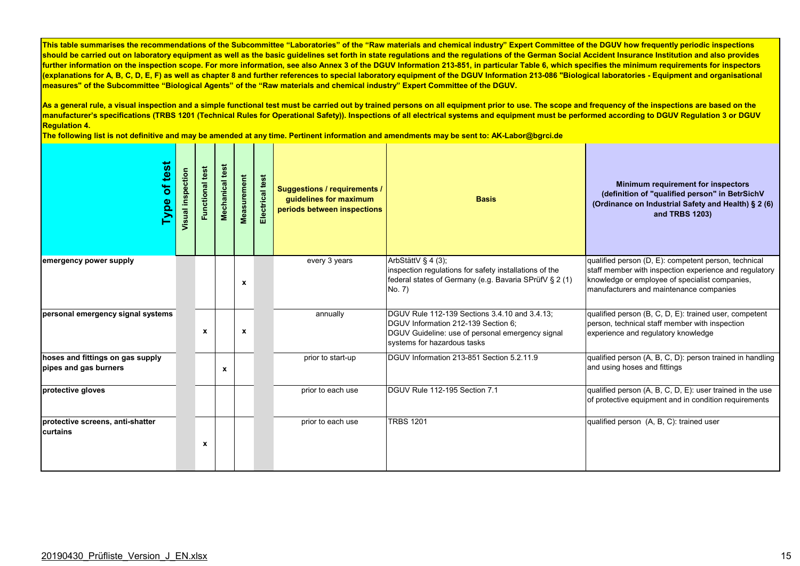As a general rule, a visual inspection and a simple functional test must be carried out by trained persons on all equipment prior to use. The scope and frequency of the inspections are based on the manufacturer's specifications (TRBS 1201 (Technical Rules for Operational Safety)). Inspections of all electrical systems and equipment must be performed according to DGUV Regulation 3 or DGUV **Regulation 4.** 

| of test<br>Type                                           | Visual inspection | Functional test | Mechanical test | <b>Measurement</b> | Electrical test | <b>Suggestions / requirements /</b><br>guidelines for maximum<br>periods between inspections | <b>Basis</b>                                                                                                                                                            | Minimum requirement for inspectors<br>(definition of "qualified person" in BetrSichV<br>(Ordinance on Industrial Safety and Health) § 2 (6)<br>and TRBS 1203)                                               |
|-----------------------------------------------------------|-------------------|-----------------|-----------------|--------------------|-----------------|----------------------------------------------------------------------------------------------|-------------------------------------------------------------------------------------------------------------------------------------------------------------------------|-------------------------------------------------------------------------------------------------------------------------------------------------------------------------------------------------------------|
| emergency power supply                                    |                   |                 |                 | X                  |                 | every 3 years                                                                                | ArbStättV § 4 (3);<br>inspection regulations for safety installations of the<br>federal states of Germany (e.g. Bavaria SPrüfV § 2 (1)<br>No. 7)                        | qualified person (D, E): competent person, technical<br>staff member with inspection experience and regulatory<br>knowledge or employee of specialist companies,<br>manufacturers and maintenance companies |
| personal emergency signal systems                         |                   | $\mathbf x$     |                 | X                  |                 | annually                                                                                     | DGUV Rule 112-139 Sections 3.4.10 and 3.4.13:<br>DGUV Information 212-139 Section 6:<br>DGUV Guideline: use of personal emergency signal<br>systems for hazardous tasks | qualified person (B, C, D, E): trained user, competent<br>person, technical staff member with inspection<br>experience and regulatory knowledge                                                             |
| hoses and fittings on gas supply<br>pipes and gas burners |                   |                 | X               |                    |                 | prior to start-up                                                                            | DGUV Information 213-851 Section 5.2.11.9                                                                                                                               | qualified person (A, B, C, D): person trained in handling<br>and using hoses and fittings                                                                                                                   |
| protective gloves                                         |                   |                 |                 |                    |                 | prior to each use                                                                            | DGUV Rule 112-195 Section 7.1                                                                                                                                           | qualified person (A, B, C, D, E): user trained in the use<br>of protective equipment and in condition requirements                                                                                          |
| protective screens, anti-shatter<br>curtains              |                   | x               |                 |                    |                 | prior to each use                                                                            | <b>TRBS 1201</b>                                                                                                                                                        | qualified person (A, B, C): trained user                                                                                                                                                                    |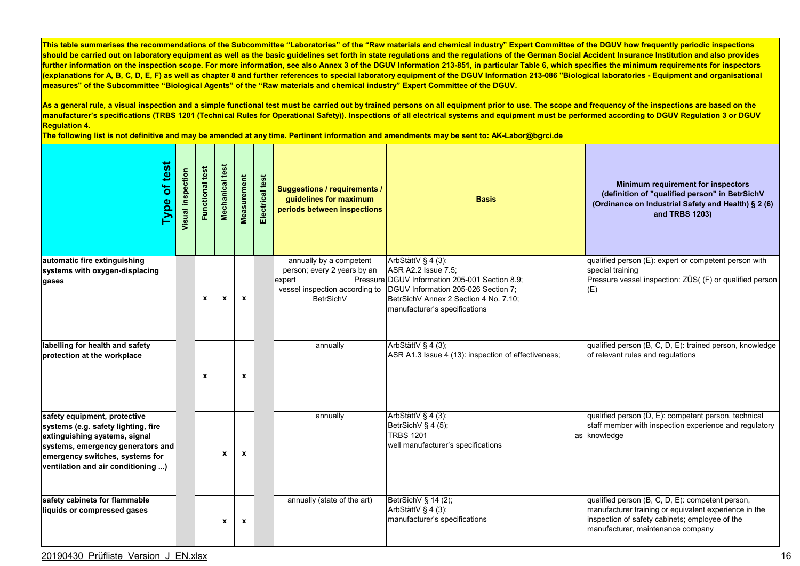As a general rule, a visual inspection and a simple functional test must be carried out by trained persons on all equipment prior to use. The scope and frequency of the inspections are based on the **manufacturer's specifications (TRBS 1201 (Technical Rules for Operational Safety)). Inspections of all electrical systems and equipment must be performed according to DGUV Regulation 3 or DGUV Regulation 4.** 

**The following list is not definitive and may be amended at any time. Pertinent information and amendments may be sent to: AK-Labor@bgrci.de**

| Type of test                                                                                                                                                                                                       | Visual inspection | <b>Functional test</b> | Mechanical test           | Measurement  | Electrical test | <b>Suggestions / requirements /</b><br>guidelines for maximum<br>periods between inspections | <b>Basis</b>                                                                                                                                                                                                                                 | Minimum requirement for inspectors<br>(definition of "qualified person" in BetrSichV<br>(Ordinance on Industrial Safety and Health) § 2 (6)<br>and TRBS 1203)                                    |
|--------------------------------------------------------------------------------------------------------------------------------------------------------------------------------------------------------------------|-------------------|------------------------|---------------------------|--------------|-----------------|----------------------------------------------------------------------------------------------|----------------------------------------------------------------------------------------------------------------------------------------------------------------------------------------------------------------------------------------------|--------------------------------------------------------------------------------------------------------------------------------------------------------------------------------------------------|
| automatic fire extinguishing<br>systems with oxygen-displacing<br>gases                                                                                                                                            |                   | $\mathbf{x}$           | $\mathbf{x}$              | $\mathbf{x}$ |                 | annually by a competent<br>person; every 2 years by an<br>expert<br><b>BetrSichV</b>         | ArbStättV § 4 (3);<br>ASR A2.2 Issue 7.5;<br>Pressure DGUV Information 205-001 Section 8.9:<br>vessel inspection according to  DGUV Information 205-026 Section 7;<br>BetrSichV Annex 2 Section 4 No. 7.10;<br>manufacturer's specifications | qualified person (E): expert or competent person with<br>special training<br>Pressure vessel inspection: ZÜS( (F) or qualified person<br>(E)                                                     |
| labelling for health and safety<br>protection at the workplace                                                                                                                                                     |                   | $\mathbf{x}$           |                           | x            |                 | annually                                                                                     | ArbStättV § 4 (3);<br>ASR A1.3 Issue 4 (13): inspection of effectiveness;                                                                                                                                                                    | qualified person (B, C, D, E): trained person, knowledge<br>of relevant rules and regulations                                                                                                    |
| safety equipment, protective<br>systems (e.g. safety lighting, fire<br>extinguishing systems, signal<br>systems, emergency generators and<br>emergency switches, systems for<br>ventilation and air conditioning ) |                   |                        | $\mathbf{x}$              | $\mathbf{x}$ |                 | annually                                                                                     | ArbStättV § 4 (3);<br>BetrSichV § 4 (5);<br><b>TRBS 1201</b><br>well manufacturer's specifications                                                                                                                                           | qualified person (D, E): competent person, technical<br>staff member with inspection experience and regulatory<br>as knowledge                                                                   |
| safety cabinets for flammable<br>liquids or compressed gases                                                                                                                                                       |                   |                        | $\boldsymbol{\mathsf{x}}$ | $\pmb{\chi}$ |                 | annually (state of the art)                                                                  | BetrSichV § 14 (2);<br>ArbStättV § 4 (3);<br>manufacturer's specifications                                                                                                                                                                   | qualified person (B, C, D, E): competent person,<br>manufacturer training or equivalent experience in the<br>inspection of safety cabinets; employee of the<br>manufacturer, maintenance company |

20190430\_Prüfliste\_Version\_J\_EN.xlsx 16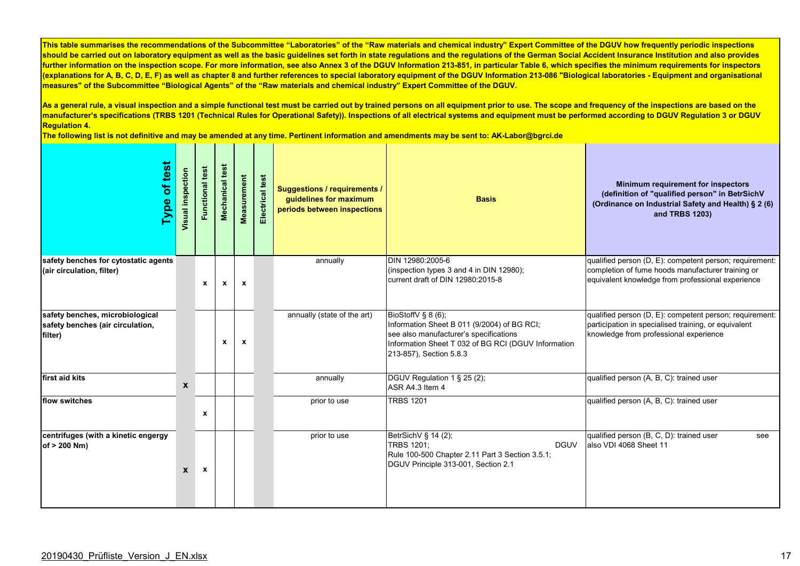As a general rule, a visual inspection and a simple functional test must be carried out by trained persons on all equipment prior to use. The scope and frequency of the inspections are based on the **manufacturer's specifications (TRBS 1201 (Technical Rules for Operational Safety)). Inspections of all electrical systems and equipment must be performed according to DGUV Regulation 3 or DGUV Regulation 4.** 

| Type of test                                                                   | Visual inspection | <b>Functional test</b> | Mechanical test  | Measurement  | Electrical test | <b>Suggestions / requirements /</b><br>guidelines for maximum<br>periods between inspections | <b>Basis</b>                                                                                                                                                                                  | Minimum requirement for inspectors<br>(definition of "qualified person" in BetrSichV<br>(Ordinance on Industrial Safety and Health) § 2 (6)<br>and TRBS 1203)     |
|--------------------------------------------------------------------------------|-------------------|------------------------|------------------|--------------|-----------------|----------------------------------------------------------------------------------------------|-----------------------------------------------------------------------------------------------------------------------------------------------------------------------------------------------|-------------------------------------------------------------------------------------------------------------------------------------------------------------------|
| safety benches for cytostatic agents<br>(air circulation, filter)              |                   | $\mathbf{x}$           | $\mathbf{x}$     | $\mathbf{x}$ |                 | annually                                                                                     | DIN 12980:2005-6<br>(inspection types 3 and 4 in DIN 12980);<br>current draft of DIN 12980:2015-8                                                                                             | qualified person (D, E): competent person; requirement:<br>completion of fume hoods manufacturer training or<br>equivalent knowledge from professional experience |
| safety benches, microbiological<br>safety benches (air circulation,<br>filter) |                   |                        | $\boldsymbol{x}$ | x            |                 | annually (state of the art)                                                                  | BioStoffV § 8 (6);<br>Information Sheet B 011 (9/2004) of BG RCI;<br>see also manufacturer's specifications<br>Information Sheet T 032 of BG RCI (DGUV Information<br>213-857), Section 5.8.3 | qualified person (D, E): competent person; requirement:<br>participation in specialised training, or equivalent<br>knowledge from professional experience         |
| first aid kits                                                                 | $\mathbf{x}$      |                        |                  |              |                 | annually                                                                                     | DGUV Regulation 1 § 25 (2);<br>ASR A4.3 Item 4                                                                                                                                                | qualified person (A, B, C): trained user                                                                                                                          |
| flow switches                                                                  |                   | $\mathbf x$            |                  |              |                 | prior to use                                                                                 | <b>TRBS 1201</b>                                                                                                                                                                              | qualified person (A, B, C): trained user                                                                                                                          |
| centrifuges (with a kinetic engergy<br>of > 200 Nm)                            | X                 | $\boldsymbol{x}$       |                  |              |                 | prior to use                                                                                 | BetrSichV § 14 (2),<br><b>TRBS 1201:</b><br><b>DGUV</b><br>Rule 100-500 Chapter 2.11 Part 3 Section 3.5.1;<br>DGUV Principle 313-001, Section 2.1                                             | qualified person (B, C, D): trained user<br>see<br>also VDI 4068 Sheet 11                                                                                         |